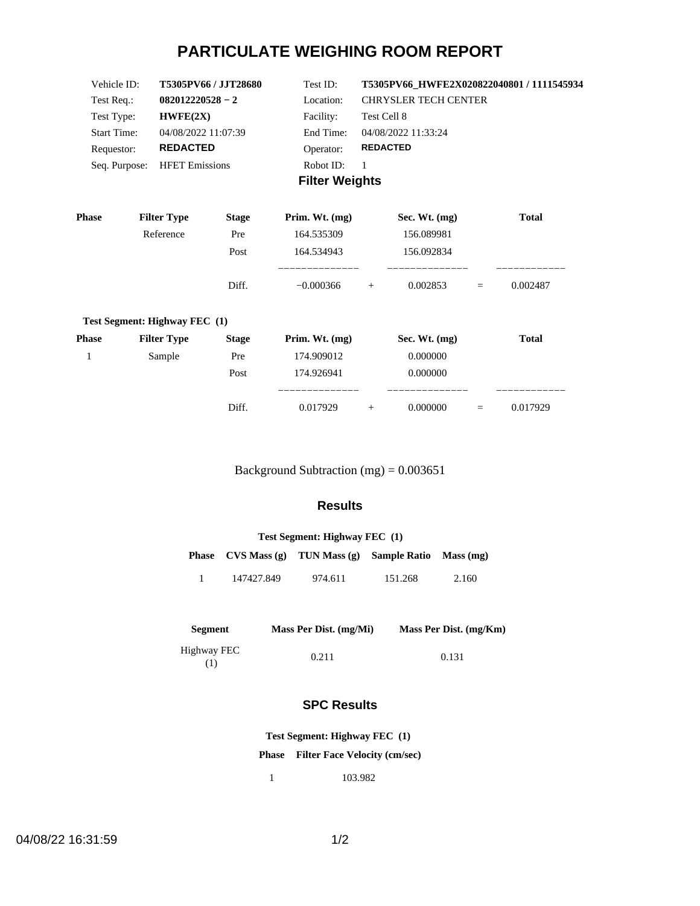# **PARTICULATE WEIGHING ROOM REPORT**

| Vehicle ID:           | <b>T5305PV66 / JJT28680</b> | Test ID:  | T5305PV66 HWFE2X020822040801 / 1111545934 |  |  |
|-----------------------|-----------------------------|-----------|-------------------------------------------|--|--|
| Test Req.:            | $082012220528 - 2$          | Location: | <b>CHRYSLER TECH CENTER</b>               |  |  |
| Test Type:            | HWFE(2X)                    | Facility: | Test Cell 8                               |  |  |
| <b>Start Time:</b>    | 04/08/2022 11:07:39         | End Time: | 04/08/2022 11:33:24                       |  |  |
| Requestor:            | <b>REDACTED</b>             | Operator: | <b>REDACTED</b>                           |  |  |
| Seq. Purpose:         | <b>HFET Emissions</b>       | Robot ID: |                                           |  |  |
| <b>Filter Weights</b> |                             |           |                                           |  |  |

| <b>Phase</b> | <b>Filter Type</b>            | <b>Stage</b> | Prim. Wt. $(mg)$ | Sec. Wt. $(mg)$ |     | <b>Total</b> |
|--------------|-------------------------------|--------------|------------------|-----------------|-----|--------------|
|              | Reference                     | Pre          | 164.535309       | 156.089981      |     |              |
|              |                               | Post         | 164.534943       | 156.092834      |     |              |
|              |                               | Diff.        | $-0.000366$      | 0.002853<br>$+$ | $=$ | 0.002487     |
|              | Test Segment: Highway FEC (1) |              |                  |                 |     |              |
| <b>Phase</b> | <b>Filter Type</b>            | <b>Stage</b> | Prim. Wt. $(mg)$ | Sec. Wt. $(mg)$ |     | <b>Total</b> |
|              | Sample                        | Pre          | 174.909012       | 0.000000        |     |              |
|              |                               | $\mathbf{r}$ | 171000011        | 0.00000         |     |              |

| Post  | 174.926941     |   | .000000       |          |           |
|-------|----------------|---|---------------|----------|-----------|
|       | ______________ |   | _____________ |          | _________ |
| Diff. | 0.017929       | - | 0.000000      | $\equiv$ | 0.017929  |

Background Subtraction (mg) = 0.003651

### **Results**

| Test Segment: Highway FEC (1) |            |                                    |                               |       |  |  |
|-------------------------------|------------|------------------------------------|-------------------------------|-------|--|--|
|                               |            | Phase $CVS Mass(g)$ TUN Mass $(g)$ | <b>Sample Ratio</b> Mass (mg) |       |  |  |
|                               | 147427.849 | 974.611                            | 151.268                       | 2.160 |  |  |

| Segment            | Mass Per Dist. (mg/Mi) | Mass Per Dist. (mg/Km) |
|--------------------|------------------------|------------------------|
| Highway FEC<br>(1) | 0.211                  | 0.131                  |

### **SPC Results**

**Test Segment: Highway FEC (1)**

**Phase Filter Face Velocity (cm/sec)**

1 103.982